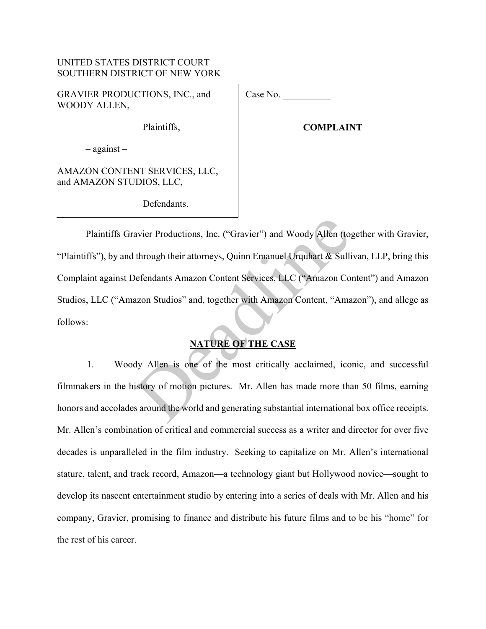### UNITED STATES DISTRICT COURT SOUTHERN DISTRICT OF NEW YORK

GRAVIER PRODUCTIONS, INC., and WOODY ALLEN,

Case No.

Plaintiffs,

**COMPLAINT** 

– against –

AMAZON CONTENT SERVICES, LLC, and AMAZON STUDIOS, LLC,

Defendants.

Plaintiffs Gravier Productions, Inc. ("Gravier") and Woody Allen (together with Gravier, "Plaintiffs"), by and through their attorneys, Quinn Emanuel Urquhart & Sullivan, LLP, bring this Complaint against Defendants Amazon Content Services, LLC ("Amazon Content") and Amazon Studios, LLC ("Amazon Studios" and, together with Amazon Content, "Amazon"), and allege as follows: avier Productions, Inc. ("Gravier") and Woody Allen (to<br>through their attorneys, Quinn Emanuel Urquhart & Sulli<br>Defendants Amazon Content Services, LLC ("Amazon Co<br>azon Studios" and, together with Amazon Content, "Ama<br>NATU

# **NATURE OF THE CASE**

1. Woody Allen is one of the most critically acclaimed, iconic, and successful filmmakers in the history of motion pictures. Mr. Allen has made more than 50 films, earning honors and accolades around the world and generating substantial international box office receipts. Mr. Allen's combination of critical and commercial success as a writer and director for over five decades is unparalleled in the film industry. Seeking to capitalize on Mr. Allen's international stature, talent, and track record, Amazon—a technology giant but Hollywood novice—sought to develop its nascent entertainment studio by entering into a series of deals with Mr. Allen and his company, Gravier, promising to finance and distribute his future films and to be his "home" for the rest of his career.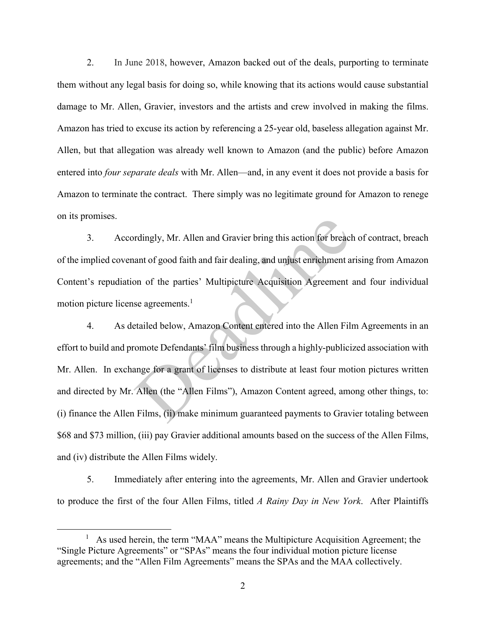2. In June 2018, however, Amazon backed out of the deals, purporting to terminate them without any legal basis for doing so, while knowing that its actions would cause substantial damage to Mr. Allen, Gravier, investors and the artists and crew involved in making the films. Amazon has tried to excuse its action by referencing a 25-year old, baseless allegation against Mr. Allen, but that allegation was already well known to Amazon (and the public) before Amazon entered into *four separate deals* with Mr. Allen—and, in any event it does not provide a basis for Amazon to terminate the contract. There simply was no legitimate ground for Amazon to renege on its promises.

3. Accordingly, Mr. Allen and Gravier bring this action for breach of contract, breach of the implied covenant of good faith and fair dealing, and unjust enrichment arising from Amazon Content's repudiation of the parties' Multipicture Acquisition Agreement and four individual motion picture license agreements.<sup>1</sup>

4. As detailed below, Amazon Content entered into the Allen Film Agreements in an effort to build and promote Defendants' film business through a highly-publicized association with Mr. Allen. In exchange for a grant of licenses to distribute at least four motion pictures written and directed by Mr. Allen (the "Allen Films"), Amazon Content agreed, among other things, to: (i) finance the Allen Films, (ii) make minimum guaranteed payments to Gravier totaling between \$68 and \$73 million, (iii) pay Gravier additional amounts based on the success of the Allen Films, and (iv) distribute the Allen Films widely. rdingly, Mr. Allen and Gravier bring this action for breaclant of good faith and fair dealing, and unjust enrichment a<br>on of the parties' Multipicture Acquisition Agreement<br>se agreements.<sup>1</sup><br>tailed below, Amazon Content en

5. Immediately after entering into the agreements, Mr. Allen and Gravier undertook to produce the first of the four Allen Films, titled *A Rainy Day in New York*. After Plaintiffs

 $\overline{a}$ 

<sup>&</sup>lt;sup>1</sup> As used herein, the term "MAA" means the Multipicture Acquisition Agreement; the "Single Picture Agreements" or "SPAs" means the four individual motion picture license agreements; and the "Allen Film Agreements" means the SPAs and the MAA collectively.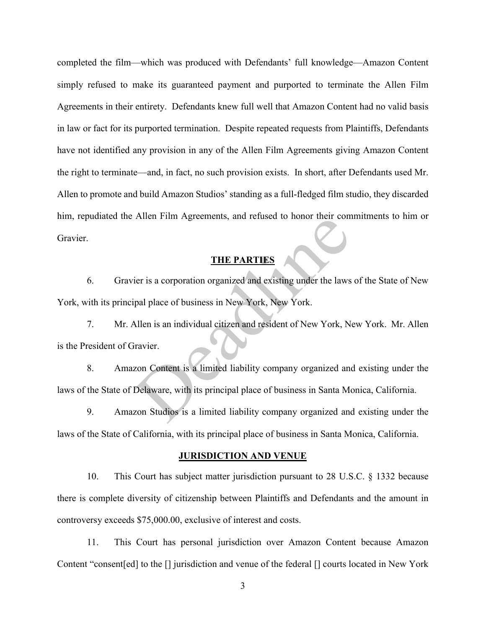completed the film—which was produced with Defendants' full knowledge—Amazon Content simply refused to make its guaranteed payment and purported to terminate the Allen Film Agreements in their entirety.Defendants knew full well that Amazon Content had no valid basis in law or fact for its purported termination. Despite repeated requests from Plaintiffs, Defendants have not identified any provision in any of the Allen Film Agreements giving Amazon Content the right to terminate—and, in fact, no such provision exists. In short, after Defendants used Mr. Allen to promote and build Amazon Studios' standing as a full-fledged film studio, they discarded him, repudiated the Allen Film Agreements, and refused to honor their commitments to him or Gravier.

## **THE PARTIES**

6. Gravier is a corporation organized and existing under the laws of the State of New York, with its principal place of business in New York, New York. THE PARTIES<br>
THE PARTIES<br>
ier is a corporation organized and existing under the laws<br>
pal place of business in New York, New York.<br>
Allen is an individual citizen and resident of New York, Ne<br>
ravier.<br>
zon Content is a lim

7. Mr. Allen is an individual citizen and resident of New York, New York. Mr. Allen is the President of Gravier.

8. Amazon Content is a limited liability company organized and existing under the laws of the State of Delaware, with its principal place of business in Santa Monica, California.

9. Amazon Studios is a limited liability company organized and existing under the laws of the State of California, with its principal place of business in Santa Monica, California.

#### **JURISDICTION AND VENUE**

10. This Court has subject matter jurisdiction pursuant to 28 U.S.C. § 1332 because there is complete diversity of citizenship between Plaintiffs and Defendants and the amount in controversy exceeds \$75,000.00, exclusive of interest and costs.

11. This Court has personal jurisdiction over Amazon Content because Amazon Content "consent[ed] to the [] jurisdiction and venue of the federal [] courts located in New York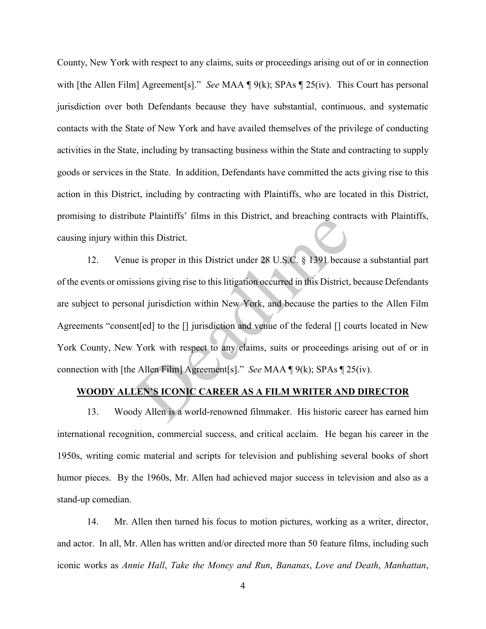County, New York with respect to any claims, suits or proceedings arising out of or in connection with [the Allen Film] Agreement[s]." *See* MAA ¶ 9(k); SPAs ¶ 25(iv). This Court has personal jurisdiction over both Defendants because they have substantial, continuous, and systematic contacts with the State of New York and have availed themselves of the privilege of conducting activities in the State, including by transacting business within the State and contracting to supply goods or services in the State. In addition, Defendants have committed the acts giving rise to this action in this District, including by contracting with Plaintiffs, who are located in this District, promising to distribute Plaintiffs' films in this District, and breaching contracts with Plaintiffs, causing injury within this District.

12. Venue is proper in this District under 28 U.S.C. § 1391 because a substantial part of the events or omissions giving rise to this litigation occurred in this District, because Defendants are subject to personal jurisdiction within New York, and because the parties to the Allen Film Agreements "consent[ed] to the [] jurisdiction and venue of the federal [] courts located in New York County, New York with respect to any claims, suits or proceedings arising out of or in connection with [the Allen Film] Agreement[s]." *See* MAA ¶ 9(k); SPAs ¶ 25(iv). In this District.<br>
In this District.<br>
In this District.<br>
In this District.<br>
In this District.<br>
In this District.<br>
In this District under 28 U.S.C. § 1391 becaus<br>
Is because the particular set of the particular<br>
In the U ju

#### **WOODY ALLEN'S ICONIC CAREER AS A FILM WRITER AND DIRECTOR**

13. Woody Allen is a world-renowned filmmaker. His historic career has earned him international recognition, commercial success, and critical acclaim. He began his career in the 1950s, writing comic material and scripts for television and publishing several books of short humor pieces. By the 1960s, Mr. Allen had achieved major success in television and also as a stand-up comedian.

14. Mr. Allen then turned his focus to motion pictures, working as a writer, director, and actor. In all, Mr. Allen has written and/or directed more than 50 feature films, including such iconic works as *Annie Hall*, *Take the Money and Run*, *Bananas*, *Love and Death*, *Manhattan*,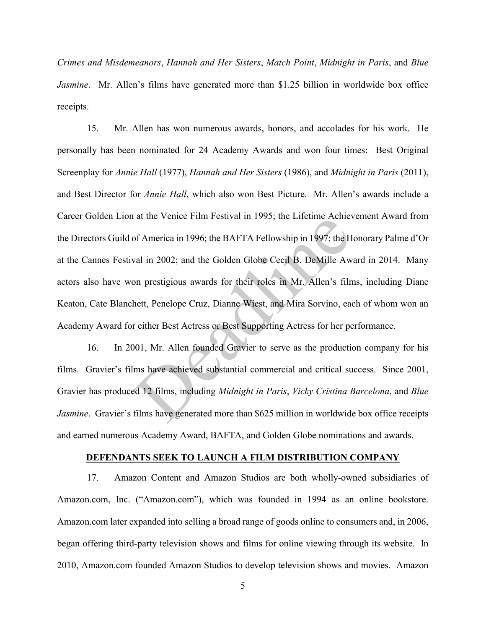*Crimes and Misdemeanors*, *Hannah and Her Sisters*, *Match Point*, *Midnight in Paris*, and *Blue Jasmine*. Mr. Allen's films have generated more than \$1.25 billion in worldwide box office receipts.

15. Mr. Allen has won numerous awards, honors, and accolades for his work. He personally has been nominated for 24 Academy Awards and won four times: Best Original Screenplay for *Annie Hall* (1977), *Hannah and Her Sisters* (1986), and *Midnight in Paris* (2011), and Best Director for *Annie Hall*, which also won Best Picture. Mr. Allen's awards include a Career Golden Lion at the Venice Film Festival in 1995; the Lifetime Achievement Award from the Directors Guild of America in 1996; the BAFTA Fellowship in 1997; the Honorary Palme d'Or at the Cannes Festival in 2002; and the Golden Globe Cecil B. DeMille Award in 2014. Many actors also have won prestigious awards for their roles in Mr. Allen's films, including Diane Keaton, Cate Blanchett, Penelope Cruz, Dianne Wiest, and Mira Sorvino, each of whom won an Academy Award for either Best Actress or Best Supporting Actress for her performance. at the Ventee Finit Festival In 1995, the Enettine Achieved of America in 1996; the BAFTA Fellowship in 1997; the H<br>val in 2002; and the Golden Globe Cecil B. DeMille Aw<br>on prestigious awards for their roles in Mr. Allen's

16. In 2001, Mr. Allen founded Gravier to serve as the production company for his films. Gravier's films have achieved substantial commercial and critical success. Since 2001, Gravier has produced 12 films, including *Midnight in Paris*, *Vicky Cristina Barcelona*, and *Blue Jasmine*. Gravier's films have generated more than \$625 million in worldwide box office receipts and earned numerous Academy Award, BAFTA, and Golden Globe nominations and awards.

#### **DEFENDANTS SEEK TO LAUNCH A FILM DISTRIBUTION COMPANY**

17. Amazon Content and Amazon Studios are both wholly-owned subsidiaries of Amazon.com, Inc. ("Amazon.com"), which was founded in 1994 as an online bookstore. Amazon.com later expanded into selling a broad range of goods online to consumers and, in 2006, began offering third-party television shows and films for online viewing through its website. In 2010, Amazon.com founded Amazon Studios to develop television shows and movies. Amazon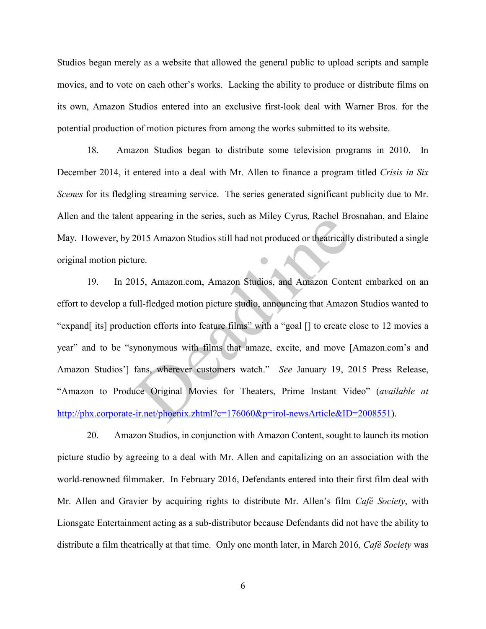Studios began merely as a website that allowed the general public to upload scripts and sample movies, and to vote on each other's works. Lacking the ability to produce or distribute films on its own, Amazon Studios entered into an exclusive first-look deal with Warner Bros. for the potential production of motion pictures from among the works submitted to its website.

18. Amazon Studios began to distribute some television programs in 2010. In December 2014, it entered into a deal with Mr. Allen to finance a program titled *Crisis in Six Scenes* for its fledgling streaming service. The series generated significant publicity due to Mr. Allen and the talent appearing in the series, such as Miley Cyrus, Rachel Brosnahan, and Elaine May. However, by 2015 Amazon Studios still had not produced or theatrically distributed a single original motion picture.

19. In 2015, Amazon.com, Amazon Studios, and Amazon Content embarked on an effort to develop a full-fledged motion picture studio, announcing that Amazon Studios wanted to "expand[ its] production efforts into feature films" with a "goal [] to create close to 12 movies a year" and to be "synonymous with films that amaze, excite, and move [Amazon.com's and Amazon Studios'] fans, wherever customers watch." *See* January 19, 2015 Press Release, "Amazon to Produce Original Movies for Theaters, Prime Instant Video" (*available at*  http://phx.corporate-ir.net/phoenix.zhtml?c=176060&p=irol-newsArticle&ID=2008551). appearing in the series, such as whiey Cyrus, Kacher BR<br>2015 Amazon Studios still had not produced or theatrically<br>ure.<br>115, Amazon.com, Amazon Studios, and Amazon Conte<br>ull-fledged motion picture studio, announcing that A

20. Amazon Studios, in conjunction with Amazon Content, sought to launch its motion picture studio by agreeing to a deal with Mr. Allen and capitalizing on an association with the world-renowned filmmaker. In February 2016, Defendants entered into their first film deal with Mr. Allen and Gravier by acquiring rights to distribute Mr. Allen's film *Café Society*, with Lionsgate Entertainment acting as a sub-distributor because Defendants did not have the ability to distribute a film theatrically at that time. Only one month later, in March 2016, *Café Society* was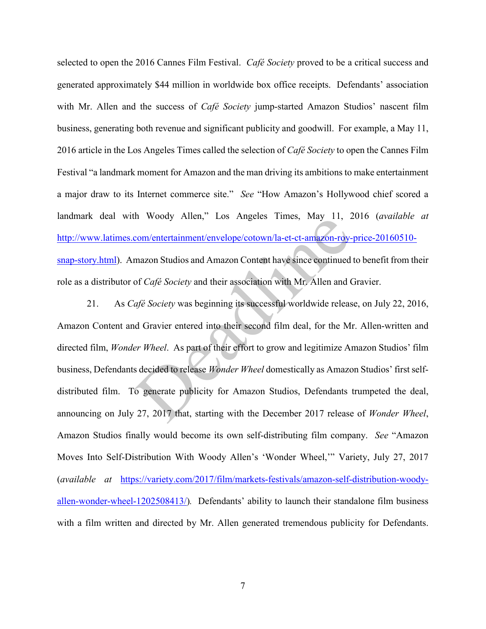selected to open the 2016 Cannes Film Festival. *Café Society* proved to be a critical success and generated approximately \$44 million in worldwide box office receipts. Defendants' association with Mr. Allen and the success of *Café Society* jump-started Amazon Studios' nascent film business, generating both revenue and significant publicity and goodwill. For example, a May 11, 2016 article in the Los Angeles Times called the selection of *Café Society* to open the Cannes Film Festival "a landmark moment for Amazon and the man driving its ambitions to make entertainment a major draw to its Internet commerce site." *See* "How Amazon's Hollywood chief scored a landmark deal with Woody Allen," Los Angeles Times, May 11, 2016 (*available at*  http://www.latimes.com/entertainment/envelope/cotown/la-et-ct-amazon-roy-price-20160510 snap-story.html). Amazon Studios and Amazon Content have since continued to benefit from their role as a distributor of *Café Society* and their association with Mr. Allen and Gravier.

21. As *Café Society* was beginning its successful worldwide release, on July 22, 2016, Amazon Content and Gravier entered into their second film deal, for the Mr. Allen-written and directed film, *Wonder Wheel*. As part of their effort to grow and legitimize Amazon Studios' film business, Defendants decided to release *Wonder Wheel* domestically as Amazon Studios' first selfdistributed film. To generate publicity for Amazon Studios, Defendants trumpeted the deal, announcing on July 27, 2017 that, starting with the December 2017 release of *Wonder Wheel*, Amazon Studios finally would become its own self-distributing film company. *See* "Amazon Moves Into Self-Distribution With Woody Allen's 'Wonder Wheel,'" Variety, July 27, 2017 (*available at* [https://variety.com/2017/film/markets-festivals/amazon-self-distribution-woody](https://variety.com/2017/film/markets-festivals/amazon-self-distribution-woody-allen-wonder-wheel-1202508413/)allen-wonder-wheel-1202508413/)*.* Defendants' ability to launch their standalone film business with a film written and directed by Mr. Allen generated tremendous publicity for Defendants. Immediately and Management Constrainers (May 11, 2<br>
<u>com/entertainment/envelope/cotown/la-et-ct-amazon-roy-</u><br>
mazon Studios and Amazon Content have since continued<br>
of *Café Society* and their association with Mr. Allen an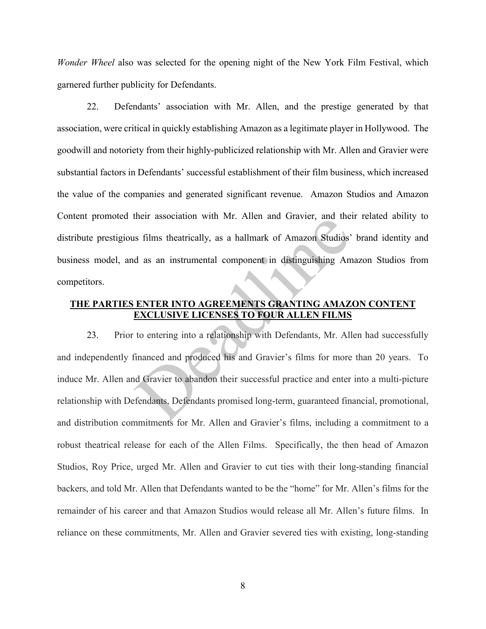*Wonder Wheel* also was selected for the opening night of the New York Film Festival, which garnered further publicity for Defendants.

22. Defendants' association with Mr. Allen, and the prestige generated by that association, were critical in quickly establishing Amazon as a legitimate player in Hollywood. The goodwill and notoriety from their highly-publicized relationship with Mr. Allen and Gravier were substantial factors in Defendants' successful establishment of their film business, which increased the value of the companies and generated significant revenue. Amazon Studios and Amazon Content promoted their association with Mr. Allen and Gravier, and their related ability to distribute prestigious films theatrically, as a hallmark of Amazon Studios' brand identity and business model, and as an instrumental component in distinguishing Amazon Studios from competitors.

### **THE PARTIES ENTER INTO AGREEMENTS GRANTING AMAZON CONTENT EXCLUSIVE LICENSES TO FOUR ALLEN FILMS**

23. Prior to entering into a relationship with Defendants, Mr. Allen had successfully and independently financed and produced his and Gravier's films for more than 20 years. To induce Mr. Allen and Gravier to abandon their successful practice and enter into a multi-picture relationship with Defendants, Defendants promised long-term, guaranteed financial, promotional, and distribution commitments for Mr. Allen and Gravier's films, including a commitment to a robust theatrical release for each of the Allen Films. Specifically, the then head of Amazon Studios, Roy Price, urged Mr. Allen and Gravier to cut ties with their long-standing financial backers, and told Mr. Allen that Defendants wanted to be the "home" for Mr. Allen's films for the remainder of his career and that Amazon Studios would release all Mr. Allen's future films. In reliance on these commitments, Mr. Allen and Gravier severed ties with existing, long-standing inen association whil Mr. After and Gravier, and the<br>s films theatrically, as a hallmark of Amazon Studios'<br>d as an instrumental component in distinguishing Am<br>ENTER INTO AGREEMENTS GRANTING AMAZ<br>EXCLUSIVE LICENSES TO FOUR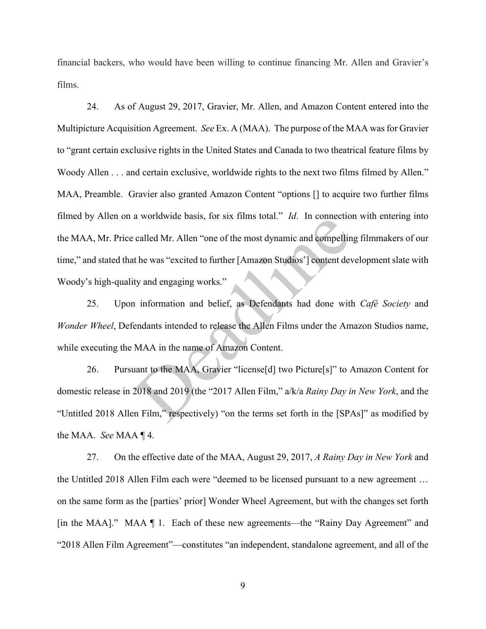financial backers, who would have been willing to continue financing Mr. Allen and Gravier's films.

24. As of August 29, 2017, Gravier, Mr. Allen, and Amazon Content entered into the Multipicture Acquisition Agreement. *See* Ex. A (MAA). The purpose of the MAA was for Gravier to "grant certain exclusive rights in the United States and Canada to two theatrical feature films by Woody Allen . . . and certain exclusive, worldwide rights to the next two films filmed by Allen." MAA, Preamble. Gravier also granted Amazon Content "options [] to acquire two further films filmed by Allen on a worldwide basis, for six films total." *Id*. In connection with entering into the MAA, Mr. Price called Mr. Allen "one of the most dynamic and compelling filmmakers of our time," and stated that he was "excited to further [Amazon Studios'] content development slate with Woody's high-quality and engaging works." a worldwide basis, for six films total. The income<br>called Mr. Allen "one of the most dynamic and compellint<br>the was "excited to further [Amazon Studios"] content dev<br>ty and engaging works."<br>information and belief, as Defe

25. Upon information and belief, as Defendants had done with *Café Society* and *Wonder Wheel*, Defendants intended to release the Allen Films under the Amazon Studios name, while executing the MAA in the name of Amazon Content.

26. Pursuant to the MAA, Gravier "license[d] two Picture[s]" to Amazon Content for domestic release in 2018 and 2019 (the "2017 Allen Film," a/k/a *Rainy Day in New York*, and the "Untitled 2018 Allen Film," respectively) "on the terms set forth in the [SPAs]" as modified by the MAA. *See* MAA ¶ 4.

27. On the effective date of the MAA, August 29, 2017, *A Rainy Day in New York* and the Untitled 2018 Allen Film each were "deemed to be licensed pursuant to a new agreement … on the same form as the [parties' prior] Wonder Wheel Agreement, but with the changes set forth [in the MAA]." MAA ¶ 1. Each of these new agreements—the "Rainy Day Agreement" and "2018 Allen Film Agreement"—constitutes "an independent, standalone agreement, and all of the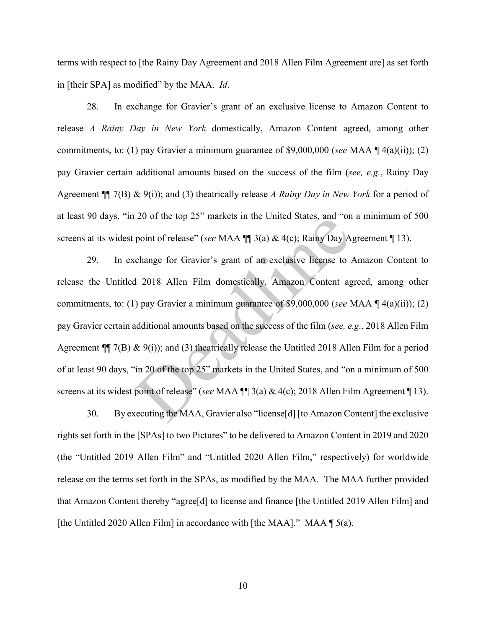terms with respect to [the Rainy Day Agreement and 2018 Allen Film Agreement are] as set forth in [their SPA] as modified" by the MAA. *Id*.

28. In exchange for Gravier's grant of an exclusive license to Amazon Content to release *A Rainy Day in New York* domestically, Amazon Content agreed, among other commitments, to: (1) pay Gravier a minimum guarantee of \$9,000,000 (*see* MAA ¶ 4(a)(ii)); (2) pay Gravier certain additional amounts based on the success of the film (*see, e.g.*, Rainy Day Agreement ¶¶ 7(B) & 9(i)); and (3) theatrically release *A Rainy Day in New York* for a period of at least 90 days, "in 20 of the top 25" markets in the United States, and "on a minimum of 500 screens at its widest point of release" (*see* MAA ¶¶ 3(a) & 4(c); Rainy Day Agreement ¶ 13).

29. In exchange for Gravier's grant of an exclusive license to Amazon Content to release the Untitled 2018 Allen Film domestically, Amazon Content agreed, among other commitments, to: (1) pay Gravier a minimum guarantee of \$9,000,000 (*see* MAA ¶ 4(a)(ii)); (2) pay Gravier certain additional amounts based on the success of the film (*see, e.g.*, 2018 Allen Film Agreement ¶¶ 7(B) & 9(i)); and (3) theatrically release the Untitled 2018 Allen Film for a period of at least 90 days, "in 20 of the top 25" markets in the United States, and "on a minimum of 500 screens at its widest point of release" (*see* MAA ¶¶ 3(a) & 4(c); 2018 Allen Film Agreement ¶ 13). 20 of the top 25<sup>c</sup> markets in the officed states, and on<br>point of release" (*see* MAA  $\P$  3(a) & 4(c); Rainy Day A<br>change for Gravier's grant of an exclusive license to *1*<br>2018 Allen Film domestically, Amazon Content ag

30. By executing the MAA, Gravier also "license[d] [to Amazon Content] the exclusive rights set forth in the [SPAs] to two Pictures" to be delivered to Amazon Content in 2019 and 2020 (the "Untitled 2019 Allen Film" and "Untitled 2020 Allen Film," respectively) for worldwide release on the terms set forth in the SPAs, as modified by the MAA. The MAA further provided that Amazon Content thereby "agree[d] to license and finance [the Untitled 2019 Allen Film] and [the Untitled 2020 Allen Film] in accordance with [the MAA]." MAA  $\parallel$  5(a).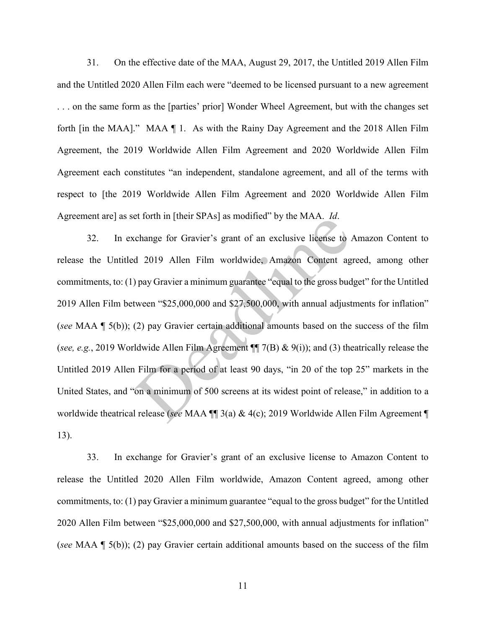31. On the effective date of the MAA, August 29, 2017, the Untitled 2019 Allen Film and the Untitled 2020 Allen Film each were "deemed to be licensed pursuant to a new agreement . . . on the same form as the [parties' prior] Wonder Wheel Agreement, but with the changes set forth [in the MAA]." MAA ¶ 1. As with the Rainy Day Agreement and the 2018 Allen Film Agreement, the 2019 Worldwide Allen Film Agreement and 2020 Worldwide Allen Film Agreement each constitutes "an independent, standalone agreement, and all of the terms with respect to [the 2019 Worldwide Allen Film Agreement and 2020 Worldwide Allen Film Agreement are] as set forth in [their SPAs] as modified" by the MAA. *Id*.

32. In exchange for Gravier's grant of an exclusive license to Amazon Content to release the Untitled 2019 Allen Film worldwide, Amazon Content agreed, among other commitments, to: (1) pay Gravier a minimum guarantee "equal to the gross budget" for the Untitled 2019 Allen Film between "\$25,000,000 and \$27,500,000, with annual adjustments for inflation" (*see* MAA ¶ 5(b)); (2) pay Gravier certain additional amounts based on the success of the film (*see, e.g.*, 2019 Worldwide Allen Film Agreement ¶¶ 7(B) & 9(i)); and (3) theatrically release the Untitled 2019 Allen Film for a period of at least 90 days, "in 20 of the top 25" markets in the United States, and "on a minimum of 500 screens at its widest point of release," in addition to a worldwide theatrical release (*see* MAA ¶¶ 3(a) & 4(c); 2019 Worldwide Allen Film Agreement ¶ 13). change for Gravier's grant of an exclusive license to a<br>d 2019 Allen Film worldwide, Amazon Content ag<br>a) pay Gravier a minimum guarantee "equal to the gross bud<br>tween "\$25,000,000 and \$27,500,000, with annual adjust<br>divi

33. In exchange for Gravier's grant of an exclusive license to Amazon Content to release the Untitled 2020 Allen Film worldwide, Amazon Content agreed, among other commitments, to: (1) pay Gravier a minimum guarantee "equal to the gross budget" for the Untitled 2020 Allen Film between "\$25,000,000 and \$27,500,000, with annual adjustments for inflation" (*see* MAA ¶ 5(b)); (2) pay Gravier certain additional amounts based on the success of the film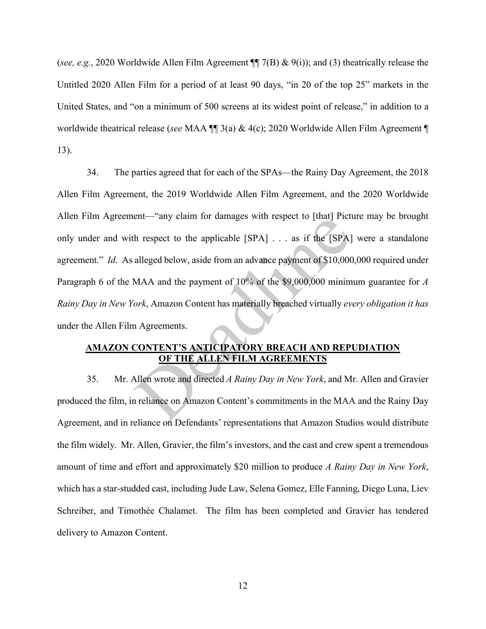(*see, e.g.*, 2020 Worldwide Allen Film Agreement ¶¶ 7(B) & 9(i)); and (3) theatrically release the Untitled 2020 Allen Film for a period of at least 90 days, "in 20 of the top 25" markets in the United States, and "on a minimum of 500 screens at its widest point of release," in addition to a worldwide theatrical release (*see* MAA ¶¶ 3(a) & 4(c); 2020 Worldwide Allen Film Agreement ¶ 13).

34. The parties agreed that for each of the SPAs—the Rainy Day Agreement, the 2018 Allen Film Agreement, the 2019 Worldwide Allen Film Agreement, and the 2020 Worldwide Allen Film Agreement—"any claim for damages with respect to [that] Picture may be brought only under and with respect to the applicable [SPA] . . . as if the [SPA] were a standalone agreement." *Id*. As alleged below, aside from an advance payment of \$10,000,000 required under Paragraph 6 of the MAA and the payment of 10% of the \$9,000,000 minimum guarantee for *A Rainy Day in New York*, Amazon Content has materially breached virtually *every obligation it has*  under the Allen Film Agreements. ent—any claim for damages with respect to [tinat] Pick<br>h respect to the applicable [SPA] . . . as if the [SPA]<br>alleged below, aside from an advance payment of \$10,000<br>MAA and the payment of 10% of the \$9,000,000 minim<br>ork,

## **AMAZON CONTENT'S ANTICIPATORY BREACH AND REPUDIATION OF THE ALLEN FILM AGREEMENTS**

35. Mr. Allen wrote and directed *A Rainy Day in New York*, and Mr. Allen and Gravier produced the film, in reliance on Amazon Content's commitments in the MAA and the Rainy Day Agreement, and in reliance on Defendants' representations that Amazon Studios would distribute the film widely. Mr. Allen, Gravier, the film's investors, and the cast and crew spent a tremendous amount of time and effort and approximately \$20 million to produce *A Rainy Day in New York*, which has a star-studded cast, including Jude Law, Selena Gomez, Elle Fanning, Diego Luna, Liev Schreiber, and Timothée Chalamet. The film has been completed and Gravier has tendered delivery to Amazon Content.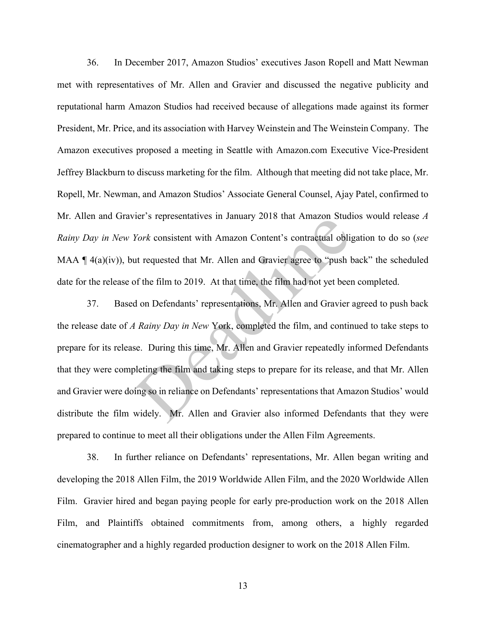36. In December 2017, Amazon Studios' executives Jason Ropell and Matt Newman met with representatives of Mr. Allen and Gravier and discussed the negative publicity and reputational harm Amazon Studios had received because of allegations made against its former President, Mr. Price, and its association with Harvey Weinstein and The Weinstein Company. The Amazon executives proposed a meeting in Seattle with Amazon.com Executive Vice-President Jeffrey Blackburn to discuss marketing for the film. Although that meeting did not take place, Mr. Ropell, Mr. Newman, and Amazon Studios' Associate General Counsel, Ajay Patel, confirmed to Mr. Allen and Gravier's representatives in January 2018 that Amazon Studios would release *A Rainy Day in New York* consistent with Amazon Content's contractual obligation to do so (*see*  MAA  $\P$  4(a)(iv)), but requested that Mr. Allen and Gravier agree to "push back" the scheduled date for the release of the film to 2019. At that time, the film had not yet been completed.

37. Based on Defendants' representations, Mr. Allen and Gravier agreed to push back the release date of *A Rainy Day in New* York, completed the film, and continued to take steps to prepare for its release. During this time, Mr. Allen and Gravier repeatedly informed Defendants that they were completing the film and taking steps to prepare for its release, and that Mr. Allen and Gravier were doing so in reliance on Defendants' representations that Amazon Studios' would distribute the film widely. Mr. Allen and Gravier also informed Defendants that they were prepared to continue to meet all their obligations under the Allen Film Agreements. For Suppose in January 2018 that Amazon Studiers Contractual obliged Nork consistent with Amazon Content's contractual obliged that Mr. Allen and Gravier agree to "push better film to 2019. At that time, the film had not y

38. In further reliance on Defendants' representations, Mr. Allen began writing and developing the 2018 Allen Film, the 2019 Worldwide Allen Film, and the 2020 Worldwide Allen Film. Gravier hired and began paying people for early pre-production work on the 2018 Allen Film, and Plaintiffs obtained commitments from, among others, a highly regarded cinematographer and a highly regarded production designer to work on the 2018 Allen Film.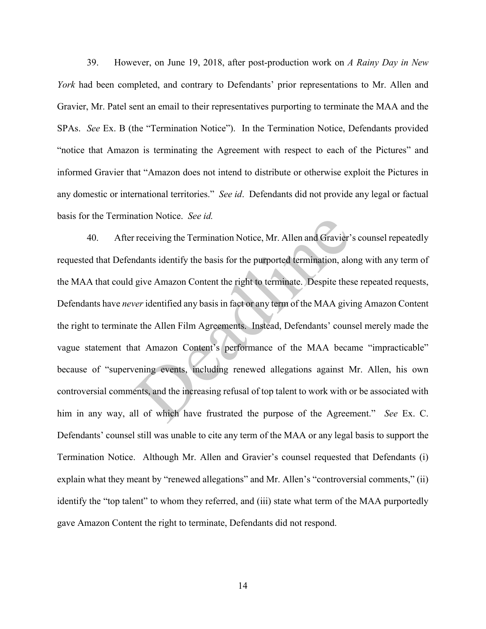39. However, on June 19, 2018, after post-production work on *A Rainy Day in New York* had been completed, and contrary to Defendants' prior representations to Mr. Allen and Gravier, Mr. Patel sent an email to their representatives purporting to terminate the MAA and the SPAs. *See* Ex. B (the "Termination Notice"). In the Termination Notice, Defendants provided "notice that Amazon is terminating the Agreement with respect to each of the Pictures" and informed Gravier that "Amazon does not intend to distribute or otherwise exploit the Pictures in any domestic or international territories." *See id*. Defendants did not provide any legal or factual basis for the Termination Notice. *See id.*

40. After receiving the Termination Notice, Mr. Allen and Gravier's counsel repeatedly requested that Defendants identify the basis for the purported termination, along with any term of the MAA that could give Amazon Content the right to terminate. Despite these repeated requests, Defendants have *never* identified any basis in fact or any term of the MAA giving Amazon Content the right to terminate the Allen Film Agreements. Instead, Defendants' counsel merely made the vague statement that Amazon Content's performance of the MAA became "impracticable" because of "supervening events, including renewed allegations against Mr. Allen, his own controversial comments, and the increasing refusal of top talent to work with or be associated with him in any way, all of which have frustrated the purpose of the Agreement." *See* Ex. C. Defendants' counsel still was unable to cite any term of the MAA or any legal basis to support the Termination Notice. Although Mr. Allen and Gravier's counsel requested that Defendants (i) explain what they meant by "renewed allegations" and Mr. Allen's "controversial comments," (ii) identify the "top talent" to whom they referred, and (iii) state what term of the MAA purportedly gave Amazon Content the right to terminate, Defendants did not respond. receiving the Termination Notice, Mr. Allen and Gravier'<br>dants identify the basis for the purported termination, alo<br>give Amazon Content the right to terminate. Despite thes<br>ver identified any basis in fact or any term of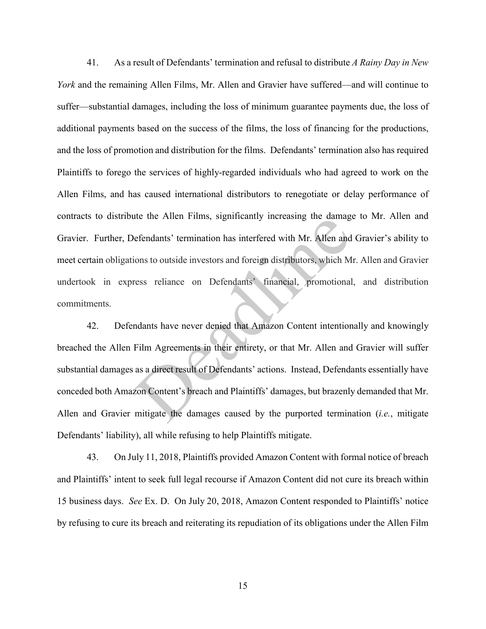41. As a result of Defendants' termination and refusal to distribute *A Rainy Day in New York* and the remaining Allen Films, Mr. Allen and Gravier have suffered—and will continue to suffer—substantial damages, including the loss of minimum guarantee payments due, the loss of additional payments based on the success of the films, the loss of financing for the productions, and the loss of promotion and distribution for the films. Defendants' termination also has required Plaintiffs to forego the services of highly-regarded individuals who had agreed to work on the Allen Films, and has caused international distributors to renegotiate or delay performance of contracts to distribute the Allen Films, significantly increasing the damage to Mr. Allen and Gravier. Further, Defendants' termination has interfered with Mr. Allen and Gravier's ability to meet certain obligations to outside investors and foreign distributors, which Mr. Allen and Gravier undertook in express reliance on Defendants' financial, promotional, and distribution commitments.

42. Defendants have never denied that Amazon Content intentionally and knowingly breached the Allen Film Agreements in their entirety, or that Mr. Allen and Gravier will suffer substantial damages as a direct result of Defendants' actions. Instead, Defendants essentially have conceded both Amazon Content's breach and Plaintiffs' damages, but brazenly demanded that Mr. Allen and Gravier mitigate the damages caused by the purported termination (*i.e.*, mitigate Defendants' liability), all while refusing to help Plaintiffs mitigate. the the Affect Primis, significantly increasing the damage efendants' termination has interfered with Mr. Allen and<br>tions to outside investors and foreign distributors, which M<br>ress reliance on Defendants' financial, promo

43. On July 11, 2018, Plaintiffs provided Amazon Content with formal notice of breach and Plaintiffs' intent to seek full legal recourse if Amazon Content did not cure its breach within 15 business days. *See* Ex. D. On July 20, 2018, Amazon Content responded to Plaintiffs' notice by refusing to cure its breach and reiterating its repudiation of its obligations under the Allen Film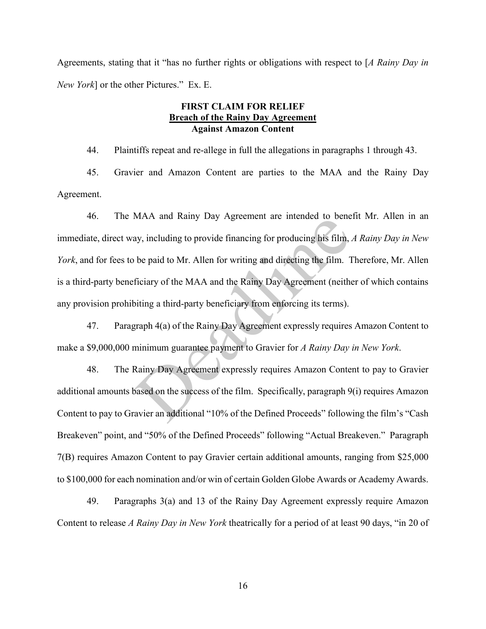Agreements, stating that it "has no further rights or obligations with respect to [*A Rainy Day in New York*] or the other Pictures." Ex. E.

#### **FIRST CLAIM FOR RELIEF Breach of the Rainy Day Agreement Against Amazon Content**

44. Plaintiffs repeat and re-allege in full the allegations in paragraphs 1 through 43.

45. Gravier and Amazon Content are parties to the MAA and the Rainy Day Agreement.

46. The MAA and Rainy Day Agreement are intended to benefit Mr. Allen in an immediate, direct way, including to provide financing for producing his film, *A Rainy Day in New York*, and for fees to be paid to Mr. Allen for writing and directing the film. Therefore, Mr. Allen is a third-party beneficiary of the MAA and the Rainy Day Agreement (neither of which contains any provision prohibiting a third-party beneficiary from enforcing its terms). WAX and Kanty Day Agreement are intended to bene<br>ay, including to provide financing for producing his film, .<br>be paid to Mr. Allen for writing and directing the film. 1<br>ficiary of the MAA and the Rainy Day Agreement (neith

47. Paragraph 4(a) of the Rainy Day Agreement expressly requires Amazon Content to make a \$9,000,000 minimum guarantee payment to Gravier for *A Rainy Day in New York*.

48. The Rainy Day Agreement expressly requires Amazon Content to pay to Gravier additional amounts based on the success of the film. Specifically, paragraph 9(i) requires Amazon Content to pay to Gravier an additional "10% of the Defined Proceeds" following the film's "Cash Breakeven" point, and "50% of the Defined Proceeds" following "Actual Breakeven." Paragraph 7(B) requires Amazon Content to pay Gravier certain additional amounts, ranging from \$25,000 to \$100,000 for each nomination and/or win of certain Golden Globe Awards or Academy Awards.

49. Paragraphs 3(a) and 13 of the Rainy Day Agreement expressly require Amazon Content to release *A Rainy Day in New York* theatrically for a period of at least 90 days, "in 20 of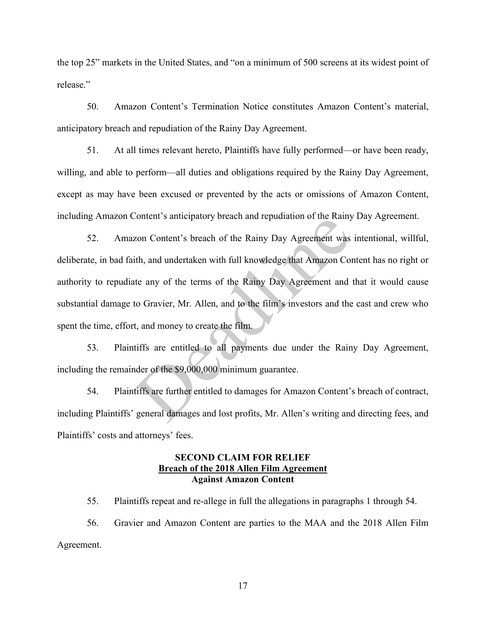the top 25" markets in the United States, and "on a minimum of 500 screens at its widest point of release."

50. Amazon Content's Termination Notice constitutes Amazon Content's material, anticipatory breach and repudiation of the Rainy Day Agreement.

51. At all times relevant hereto, Plaintiffs have fully performed—or have been ready, willing, and able to perform—all duties and obligations required by the Rainy Day Agreement, except as may have been excused or prevented by the acts or omissions of Amazon Content, including Amazon Content's anticipatory breach and repudiation of the Rainy Day Agreement.

52. Amazon Content's breach of the Rainy Day Agreement was intentional, willful, deliberate, in bad faith, and undertaken with full knowledge that Amazon Content has no right or authority to repudiate any of the terms of the Rainy Day Agreement and that it would cause substantial damage to Gravier, Mr. Allen, and to the film's investors and the cast and crew who spent the time, effort, and money to create the film. Example 10 and Feptulation of the Rainy<br>Transfer and Feptulation of the Rainy<br>Text and undertaken with full knowledge that Amazon Content<br>any of the terms of the Rainy Day Agreement and<br>to Gravier, Mr. Allen, and to the fi

53. Plaintiffs are entitled to all payments due under the Rainy Day Agreement, including the remainder of the \$9,000,000 minimum guarantee.

54. Plaintiffs are further entitled to damages for Amazon Content's breach of contract, including Plaintiffs' general damages and lost profits, Mr. Allen's writing and directing fees, and Plaintiffs' costs and attorneys' fees.

#### **SECOND CLAIM FOR RELIEF Breach of the 2018 Allen Film Agreement Against Amazon Content**

55. Plaintiffs repeat and re-allege in full the allegations in paragraphs 1 through 54.

56. Gravier and Amazon Content are parties to the MAA and the 2018 Allen Film Agreement.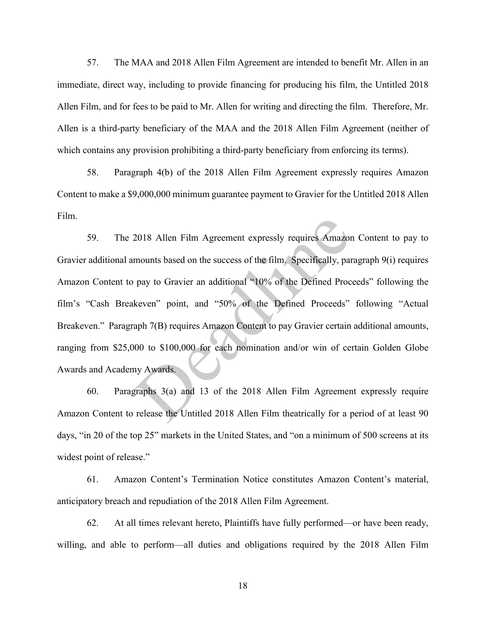57. The MAA and 2018 Allen Film Agreement are intended to benefit Mr. Allen in an immediate, direct way, including to provide financing for producing his film, the Untitled 2018 Allen Film, and for fees to be paid to Mr. Allen for writing and directing the film. Therefore, Mr. Allen is a third-party beneficiary of the MAA and the 2018 Allen Film Agreement (neither of which contains any provision prohibiting a third-party beneficiary from enforcing its terms).

58. Paragraph 4(b) of the 2018 Allen Film Agreement expressly requires Amazon Content to make a \$9,000,000 minimum guarantee payment to Gravier for the Untitled 2018 Allen Film.

59. The 2018 Allen Film Agreement expressly requires Amazon Content to pay to Gravier additional amounts based on the success of the film. Specifically, paragraph 9(i) requires Amazon Content to pay to Gravier an additional "10% of the Defined Proceeds" following the film's "Cash Breakeven" point, and "50% of the Defined Proceeds" following "Actual Breakeven." Paragraph 7(B) requires Amazon Content to pay Gravier certain additional amounts, ranging from \$25,000 to \$100,000 for each nomination and/or win of certain Golden Globe Awards and Academy Awards. 2018 Allen Film Agreement expressly requires Amazor<br>mounts based on the success of the film. Specifically, par<br>pay to Gravier an additional "10% of the Defined Proc<br>keven" point, and "50% of the Defined Proceeds"<br>aph 7(B)

60. Paragraphs 3(a) and 13 of the 2018 Allen Film Agreement expressly require Amazon Content to release the Untitled 2018 Allen Film theatrically for a period of at least 90 days, "in 20 of the top 25" markets in the United States, and "on a minimum of 500 screens at its widest point of release."

61. Amazon Content's Termination Notice constitutes Amazon Content's material, anticipatory breach and repudiation of the 2018 Allen Film Agreement.

62. At all times relevant hereto, Plaintiffs have fully performed—or have been ready, willing, and able to perform—all duties and obligations required by the 2018 Allen Film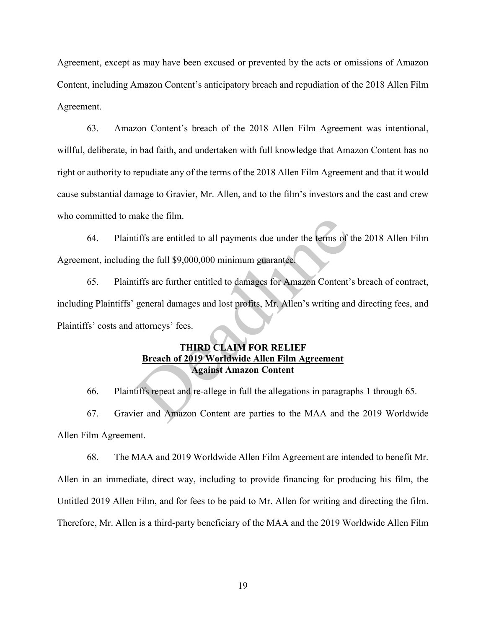Agreement, except as may have been excused or prevented by the acts or omissions of Amazon Content, including Amazon Content's anticipatory breach and repudiation of the 2018 Allen Film Agreement.

63. Amazon Content's breach of the 2018 Allen Film Agreement was intentional, willful, deliberate, in bad faith, and undertaken with full knowledge that Amazon Content has no right or authority to repudiate any of the terms of the 2018 Allen Film Agreement and that it would cause substantial damage to Gravier, Mr. Allen, and to the film's investors and the cast and crew who committed to make the film.

64. Plaintiffs are entitled to all payments due under the terms of the 2018 Allen Film Agreement, including the full \$9,000,000 minimum guarantee.

65. Plaintiffs are further entitled to damages for Amazon Content's breach of contract, including Plaintiffs' general damages and lost profits, Mr. Allen's writing and directing fees, and Plaintiffs' costs and attorneys' fees. tiffs are entitled to all payments due under the terms of t<br>tiffs are entitled to all payments due under the terms of t<br>tiffs are further entitled to damages for Amazon Content';<br>general damages and lost profits, Mr. Allen

#### **THIRD CLAIM FOR RELIEF Breach of 2019 Worldwide Allen Film Agreement Against Amazon Content**

66. Plaintiffs repeat and re-allege in full the allegations in paragraphs 1 through 65.

67. Gravier and Amazon Content are parties to the MAA and the 2019 Worldwide Allen Film Agreement.

68. The MAA and 2019 Worldwide Allen Film Agreement are intended to benefit Mr. Allen in an immediate, direct way, including to provide financing for producing his film, the Untitled 2019 Allen Film, and for fees to be paid to Mr. Allen for writing and directing the film. Therefore, Mr. Allen is a third-party beneficiary of the MAA and the 2019 Worldwide Allen Film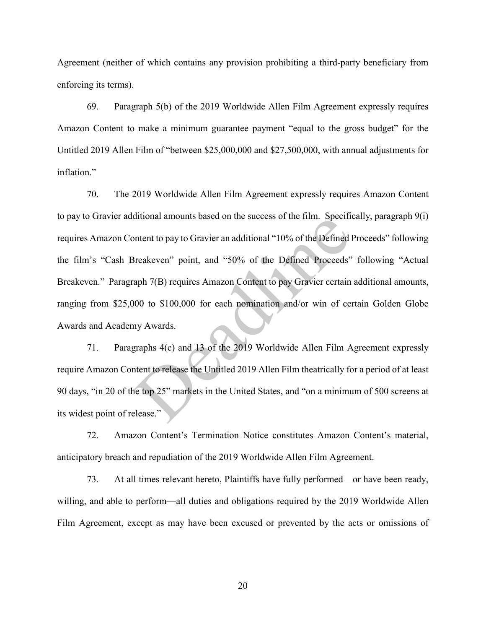Agreement (neither of which contains any provision prohibiting a third-party beneficiary from enforcing its terms).

69. Paragraph 5(b) of the 2019 Worldwide Allen Film Agreement expressly requires Amazon Content to make a minimum guarantee payment "equal to the gross budget" for the Untitled 2019 Allen Film of "between \$25,000,000 and \$27,500,000, with annual adjustments for inflation."

70. The 2019 Worldwide Allen Film Agreement expressly requires Amazon Content to pay to Gravier additional amounts based on the success of the film. Specifically, paragraph 9(i) requires Amazon Content to pay to Gravier an additional "10% of the Defined Proceeds" following the film's "Cash Breakeven" point, and "50% of the Defined Proceeds" following "Actual Breakeven." Paragraph 7(B) requires Amazon Content to pay Gravier certain additional amounts, ranging from \$25,000 to \$100,000 for each nomination and/or win of certain Golden Globe Awards and Academy Awards. Infinitional amounts based on the success of the mini. Specified<br>Intent to pay to Gravier an additional "10% of the Defined Proceeds"<br>aph 7(B) requires Amazon Content to pay Gravier certain<br>00 to \$100,000 for each nominati

71. Paragraphs 4(c) and 13 of the 2019 Worldwide Allen Film Agreement expressly require Amazon Content to release the Untitled 2019 Allen Film theatrically for a period of at least 90 days, "in 20 of the top 25" markets in the United States, and "on a minimum of 500 screens at its widest point of release."

72. Amazon Content's Termination Notice constitutes Amazon Content's material, anticipatory breach and repudiation of the 2019 Worldwide Allen Film Agreement.

73. At all times relevant hereto, Plaintiffs have fully performed—or have been ready, willing, and able to perform—all duties and obligations required by the 2019 Worldwide Allen Film Agreement, except as may have been excused or prevented by the acts or omissions of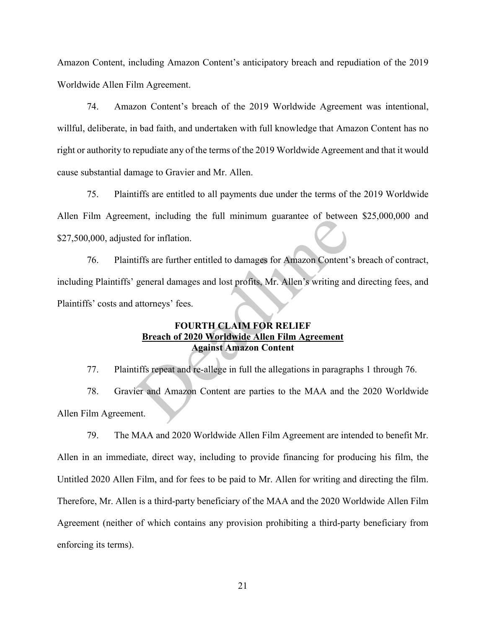Amazon Content, including Amazon Content's anticipatory breach and repudiation of the 2019 Worldwide Allen Film Agreement.

74. Amazon Content's breach of the 2019 Worldwide Agreement was intentional, willful, deliberate, in bad faith, and undertaken with full knowledge that Amazon Content has no right or authority to repudiate any of the terms of the 2019 Worldwide Agreement and that it would cause substantial damage to Gravier and Mr. Allen.

75. Plaintiffs are entitled to all payments due under the terms of the 2019 Worldwide Allen Film Agreement, including the full minimum guarantee of between \$25,000,000 and \$27,500,000, adjusted for inflation.

76. Plaintiffs are further entitled to damages for Amazon Content's breach of contract, including Plaintiffs' general damages and lost profits, Mr. Allen's writing and directing fees, and Plaintiffs' costs and attorneys' fees. ent, including the full infinition guarantee of betwee<br>ed for inflation.<br>tiffs are further entitled to damages for Amazon Content'.<br>general damages and lost profits, Mr. Allen's writing and<br>attorneys' fees.<br>FOURTH CLAIM FO

### **FOURTH CLAIM FOR RELIEF Breach of 2020 Worldwide Allen Film Agreement Against Amazon Content**

77. Plaintiffs repeat and re-allege in full the allegations in paragraphs 1 through 76.

78. Gravier and Amazon Content are parties to the MAA and the 2020 Worldwide Allen Film Agreement.

79. The MAA and 2020 Worldwide Allen Film Agreement are intended to benefit Mr. Allen in an immediate, direct way, including to provide financing for producing his film, the Untitled 2020 Allen Film, and for fees to be paid to Mr. Allen for writing and directing the film. Therefore, Mr. Allen is a third-party beneficiary of the MAA and the 2020 Worldwide Allen Film Agreement (neither of which contains any provision prohibiting a third-party beneficiary from enforcing its terms).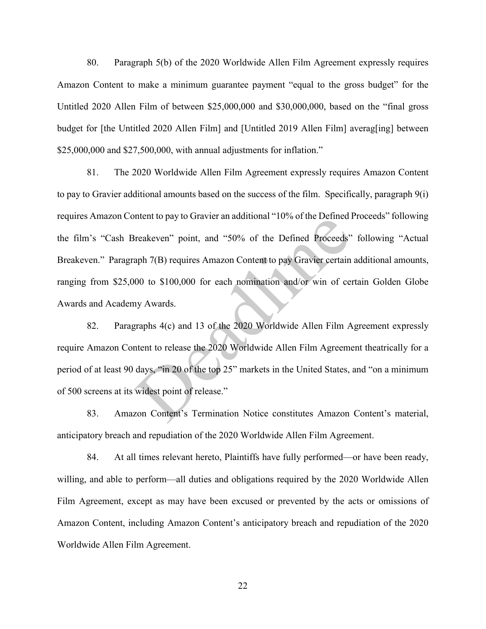80. Paragraph 5(b) of the 2020 Worldwide Allen Film Agreement expressly requires Amazon Content to make a minimum guarantee payment "equal to the gross budget" for the Untitled 2020 Allen Film of between \$25,000,000 and \$30,000,000, based on the "final gross budget for [the Untitled 2020 Allen Film] and [Untitled 2019 Allen Film] averag[ing] between \$25,000,000 and \$27,500,000, with annual adjustments for inflation."

81. The 2020 Worldwide Allen Film Agreement expressly requires Amazon Content to pay to Gravier additional amounts based on the success of the film. Specifically, paragraph 9(i) requires Amazon Content to pay to Gravier an additional "10% of the Defined Proceeds" following the film's "Cash Breakeven" point, and "50% of the Defined Proceeds" following "Actual Breakeven." Paragraph 7(B) requires Amazon Content to pay Gravier certain additional amounts, ranging from \$25,000 to \$100,000 for each nomination and/or win of certain Golden Globe Awards and Academy Awards. Freakeven" point, and "50% of the Defined Proceeds"<br>streakeven" point, and "50% of the Defined Proceeds"<br>aph 7(B) requires Amazon Content to pay Gravier certain<br>00 to \$100,000 for each nomination and/or win of cer<br>straphs

82. Paragraphs 4(c) and 13 of the 2020 Worldwide Allen Film Agreement expressly require Amazon Content to release the 2020 Worldwide Allen Film Agreement theatrically for a period of at least 90 days, "in 20 of the top 25" markets in the United States, and "on a minimum of 500 screens at its widest point of release."

83. Amazon Content's Termination Notice constitutes Amazon Content's material, anticipatory breach and repudiation of the 2020 Worldwide Allen Film Agreement.

84. At all times relevant hereto, Plaintiffs have fully performed—or have been ready, willing, and able to perform—all duties and obligations required by the 2020 Worldwide Allen Film Agreement, except as may have been excused or prevented by the acts or omissions of Amazon Content, including Amazon Content's anticipatory breach and repudiation of the 2020 Worldwide Allen Film Agreement.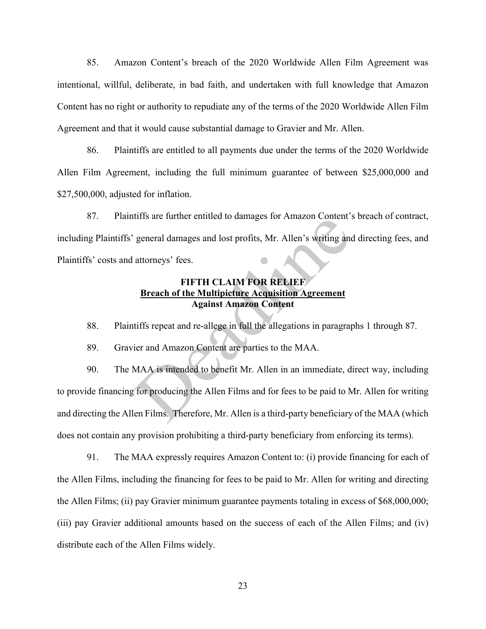85. Amazon Content's breach of the 2020 Worldwide Allen Film Agreement was intentional, willful, deliberate, in bad faith, and undertaken with full knowledge that Amazon Content has no right or authority to repudiate any of the terms of the 2020 Worldwide Allen Film Agreement and that it would cause substantial damage to Gravier and Mr. Allen.

86. Plaintiffs are entitled to all payments due under the terms of the 2020 Worldwide Allen Film Agreement, including the full minimum guarantee of between \$25,000,000 and \$27,500,000, adjusted for inflation.

87. Plaintiffs are further entitled to damages for Amazon Content's breach of contract, including Plaintiffs' general damages and lost profits, Mr. Allen's writing and directing fees, and Plaintiffs' costs and attorneys' fees.

### **FIFTH CLAIM FOR RELIEF Breach of the Multipicture Acquisition Agreement Against Amazon Content**

88. Plaintiffs repeat and re-allege in full the allegations in paragraphs 1 through 87.

89. Gravier and Amazon Content are parties to the MAA.

90. The MAA is intended to benefit Mr. Allen in an immediate, direct way, including to provide financing for producing the Allen Films and for fees to be paid to Mr. Allen for writing and directing the Allen Films. Therefore, Mr. Allen is a third-party beneficiary of the MAA (which does not contain any provision prohibiting a third-party beneficiary from enforcing its terms). The state in the entired to damages for Amazon Content<br>general damages and lost profits, Mr. Allen's writing and<br>attorneys' fees.<br>FIFTH CLAIM FOR RELIEF<br>Breach of the Multipicture Acquisition Agreement<br>Against Amazon Conte

91. The MAA expressly requires Amazon Content to: (i) provide financing for each of the Allen Films, including the financing for fees to be paid to Mr. Allen for writing and directing the Allen Films; (ii) pay Gravier minimum guarantee payments totaling in excess of \$68,000,000; (iii) pay Gravier additional amounts based on the success of each of the Allen Films; and (iv) distribute each of the Allen Films widely.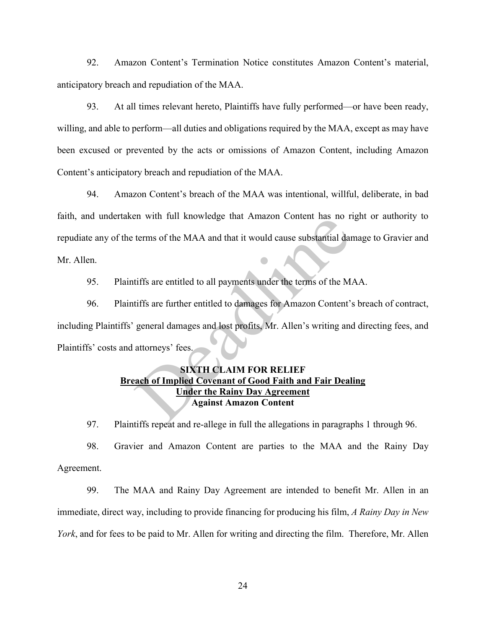92. Amazon Content's Termination Notice constitutes Amazon Content's material, anticipatory breach and repudiation of the MAA.

93. At all times relevant hereto, Plaintiffs have fully performed—or have been ready, willing, and able to perform—all duties and obligations required by the MAA, except as may have been excused or prevented by the acts or omissions of Amazon Content, including Amazon Content's anticipatory breach and repudiation of the MAA.

94. Amazon Content's breach of the MAA was intentional, willful, deliberate, in bad faith, and undertaken with full knowledge that Amazon Content has no right or authority to repudiate any of the terms of the MAA and that it would cause substantial damage to Gravier and Mr. Allen.

95. Plaintiffs are entitled to all payments under the terms of the MAA.

96. Plaintiffs are further entitled to damages for Amazon Content's breach of contract, including Plaintiffs' general damages and lost profits, Mr. Allen's writing and directing fees, and Plaintiffs' costs and attorneys' fees. Example 11 what in the MAA and that it would cause substantial dand<br>terms of the MAA and that it would cause substantial dan<br>tiffs are entitled to all payments under the terms of the M.<br>tiffs are further entitled to damage

### **SIXTH CLAIM FOR RELIEF Breach of Implied Covenant of Good Faith and Fair Dealing Under the Rainy Day Agreement Against Amazon Content**

97. Plaintiffs repeat and re-allege in full the allegations in paragraphs 1 through 96.

98. Gravier and Amazon Content are parties to the MAA and the Rainy Day Agreement.

99. The MAA and Rainy Day Agreement are intended to benefit Mr. Allen in an immediate, direct way, including to provide financing for producing his film, *A Rainy Day in New York*, and for fees to be paid to Mr. Allen for writing and directing the film. Therefore, Mr. Allen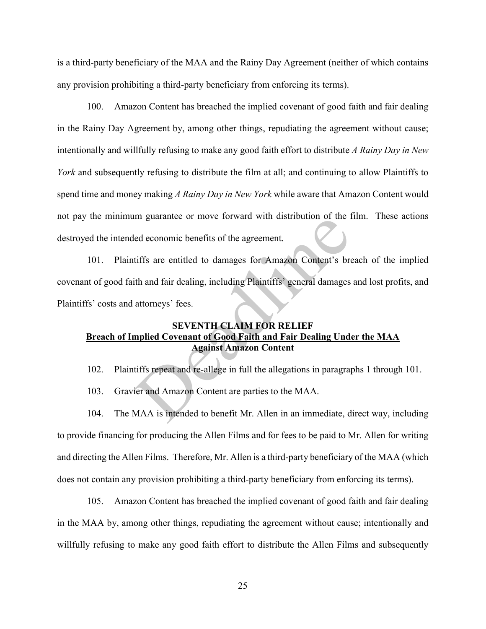is a third-party beneficiary of the MAA and the Rainy Day Agreement (neither of which contains any provision prohibiting a third-party beneficiary from enforcing its terms).

100. Amazon Content has breached the implied covenant of good faith and fair dealing in the Rainy Day Agreement by, among other things, repudiating the agreement without cause; intentionally and willfully refusing to make any good faith effort to distribute *A Rainy Day in New York* and subsequently refusing to distribute the film at all; and continuing to allow Plaintiffs to spend time and money making *A Rainy Day in New York* while aware that Amazon Content would not pay the minimum guarantee or move forward with distribution of the film. These actions destroyed the intended economic benefits of the agreement.

101. Plaintiffs are entitled to damages for Amazon Content's breach of the implied covenant of good faith and fair dealing, including Plaintiffs' general damages and lost profits, and Plaintiffs' costs and attorneys' fees. In guarantee of move forward with distribution of the read economic benefits of the agreement.<br>
ed economic benefits of the agreement.<br>
iffs are entitled to damages for Amazon Content's breath<br>
ith and fair dealing, includ

### **SEVENTH CLAIM FOR RELIEF Breach of Implied Covenant of Good Faith and Fair Dealing Under the MAA Against Amazon Content**

102. Plaintiffs repeat and re-allege in full the allegations in paragraphs 1 through 101.

103. Gravier and Amazon Content are parties to the MAA.

104. The MAA is intended to benefit Mr. Allen in an immediate, direct way, including to provide financing for producing the Allen Films and for fees to be paid to Mr. Allen for writing and directing the Allen Films. Therefore, Mr. Allen is a third-party beneficiary of the MAA (which does not contain any provision prohibiting a third-party beneficiary from enforcing its terms).

105. Amazon Content has breached the implied covenant of good faith and fair dealing in the MAA by, among other things, repudiating the agreement without cause; intentionally and willfully refusing to make any good faith effort to distribute the Allen Films and subsequently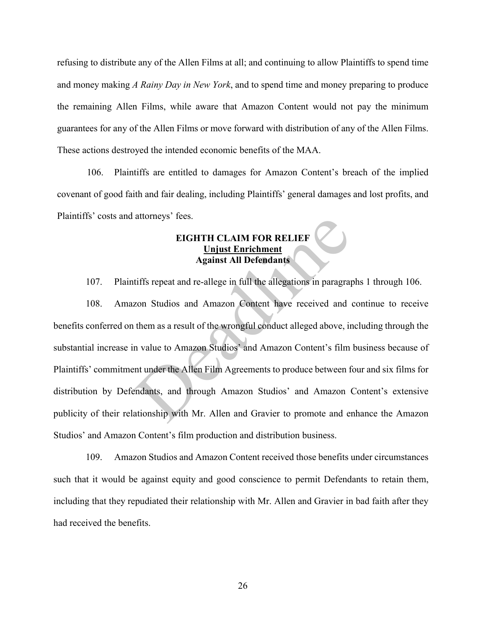refusing to distribute any of the Allen Films at all; and continuing to allow Plaintiffs to spend time and money making *A Rainy Day in New York*, and to spend time and money preparing to produce the remaining Allen Films, while aware that Amazon Content would not pay the minimum guarantees for any of the Allen Films or move forward with distribution of any of the Allen Films. These actions destroyed the intended economic benefits of the MAA.

106. Plaintiffs are entitled to damages for Amazon Content's breach of the implied covenant of good faith and fair dealing, including Plaintiffs' general damages and lost profits, and Plaintiffs' costs and attorneys' fees.

### **EIGHTH CLAIM FOR RELIEF Unjust Enrichment Against All Defendants**

107. Plaintiffs repeat and re-allege in full the allegations in paragraphs 1 through 106.

108. Amazon Studios and Amazon Content have received and continue to receive benefits conferred on them as a result of the wrongful conduct alleged above, including through the substantial increase in value to Amazon Studios' and Amazon Content's film business because of Plaintiffs' commitment under the Allen Film Agreements to produce between four and six films for distribution by Defendants, and through Amazon Studios' and Amazon Content's extensive publicity of their relationship with Mr. Allen and Gravier to promote and enhance the Amazon Studios' and Amazon Content's film production and distribution business. EIGHTH CLAIM FOR RELIEF<br>
Luist Enrichment<br>
Against All Defendants<br>
tiffs repeat and re-allege in full the allegations in paragra<br>
zon Studios and Amazon Content have received and<br>
them as a result of the wrongful conduct a

109. Amazon Studios and Amazon Content received those benefits under circumstances such that it would be against equity and good conscience to permit Defendants to retain them, including that they repudiated their relationship with Mr. Allen and Gravier in bad faith after they had received the benefits.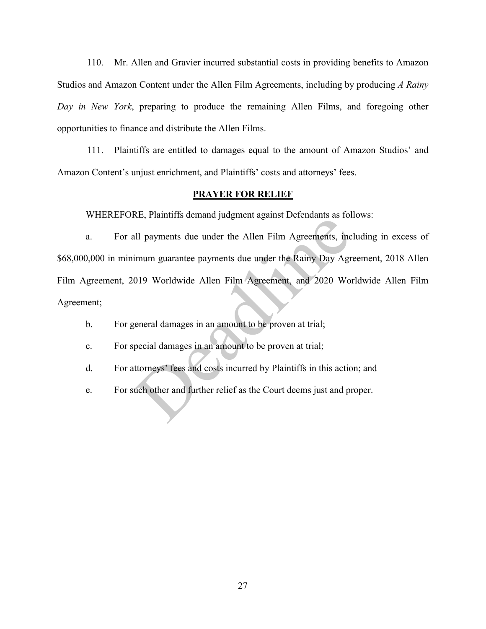110. Mr. Allen and Gravier incurred substantial costs in providing benefits to Amazon Studios and Amazon Content under the Allen Film Agreements, including by producing *A Rainy Day in New York*, preparing to produce the remaining Allen Films, and foregoing other opportunities to finance and distribute the Allen Films.

111. Plaintiffs are entitled to damages equal to the amount of Amazon Studios' and Amazon Content's unjust enrichment, and Plaintiffs' costs and attorneys' fees.

#### **PRAYER FOR RELIEF**

WHEREFORE, Plaintiffs demand judgment against Defendants as follows:

a. For all payments due under the Allen Film Agreements, including in excess of \$68,000,000 in minimum guarantee payments due under the Rainy Day Agreement, 2018 Allen Film Agreement, 2019 Worldwide Allen Film Agreement, and 2020 Worldwide Allen Film Agreement; exactly rainting dentant judgment against Berendinis as for<br>all payments due under the Allen Film Agreements, inc<br>imum guarantee payments due under the Rainy Day Agr<br>019 Worldwide Allen Film Agreement, and 2020 Wor<br>eeneral

- b. For general damages in an amount to be proven at trial;
- c. For special damages in an amount to be proven at trial;
- d. For attorneys' fees and costs incurred by Plaintiffs in this action; and
- e. For such other and further relief as the Court deems just and proper.